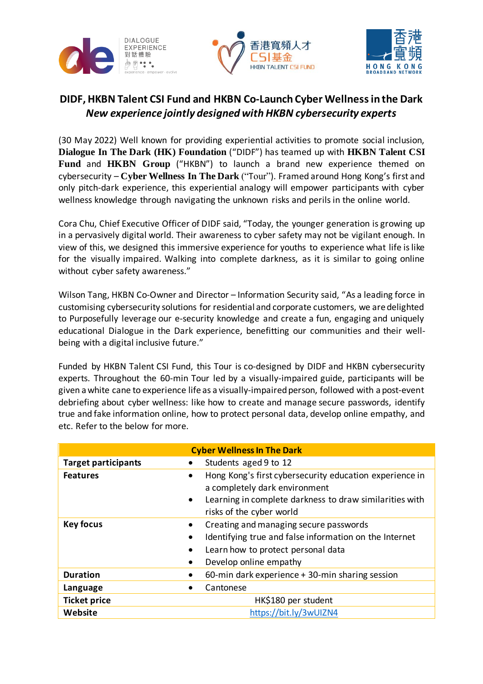





## **DIDF, HKBN Talent CSI Fund and HKBN Co-Launch Cyber Wellness in the Dark**  *New experience jointly designed with HKBN cybersecurity experts*

(30 May 2022) Well known for providing experiential activities to promote social inclusion, **Dialogue In The Dark (HK) Foundation** ("DIDF") has teamed up with **HKBN Talent CSI Fund** and **HKBN Group** ("HKBN") to launch a brand new experience themed on cybersecurity – **Cyber Wellness In The Dark** ("Tour"). Framed around Hong Kong's first and only pitch-dark experience, this experiential analogy will empower participants with cyber wellness knowledge through navigating the unknown risks and perils in the online world.

Cora Chu, Chief Executive Officer of DIDF said, "Today, the younger generation is growing up in a pervasively digital world. Their awareness to cyber safety may not be vigilant enough. In view of this, we designed this immersive experience for youths to experience what life is like for the visually impaired. Walking into complete darkness, as it is similar to going online without cyber safety awareness."

Wilson Tang, HKBN Co-Owner and Director – Information Security said, "As a leading force in customising cybersecurity solutions for residential and corporate customers, we are delighted to Purposefully leverage our e-security knowledge and create a fun, engaging and uniquely educational Dialogue in the Dark experience, benefitting our communities and their wellbeing with a digital inclusive future."

Funded by HKBN Talent CSI Fund, this Tour is co-designed by DIDF and HKBN cybersecurity experts. Throughout the 60-min Tour led by a visually-impaired guide, participants will be given a white cane to experience life as a visually-impaired person, followed with a post-event debriefing about cyber wellness: like how to create and manage secure passwords, identify true and fake information online, how to protect personal data, develop online empathy, and etc. Refer to the below for more.

| <b>Cyber Wellness In The Dark</b>         |                                                                                                                                                                                 |
|-------------------------------------------|---------------------------------------------------------------------------------------------------------------------------------------------------------------------------------|
| <b>Target participants</b>                | Students aged 9 to 12                                                                                                                                                           |
| <b>Features</b><br>$\bullet$<br>$\bullet$ | Hong Kong's first cybersecurity education experience in<br>a completely dark environment<br>Learning in complete darkness to draw similarities with<br>risks of the cyber world |
| <b>Key focus</b><br>٠<br>٠                | Creating and managing secure passwords<br>Identifying true and false information on the Internet<br>Learn how to protect personal data<br>Develop online empathy                |
| <b>Duration</b><br>$\bullet$              | 60-min dark experience + 30-min sharing session                                                                                                                                 |
| Language<br>٠                             | Cantonese                                                                                                                                                                       |
| <b>Ticket price</b>                       | HK\$180 per student                                                                                                                                                             |
| Website                                   | https://bit.ly/3wUIZN4                                                                                                                                                          |